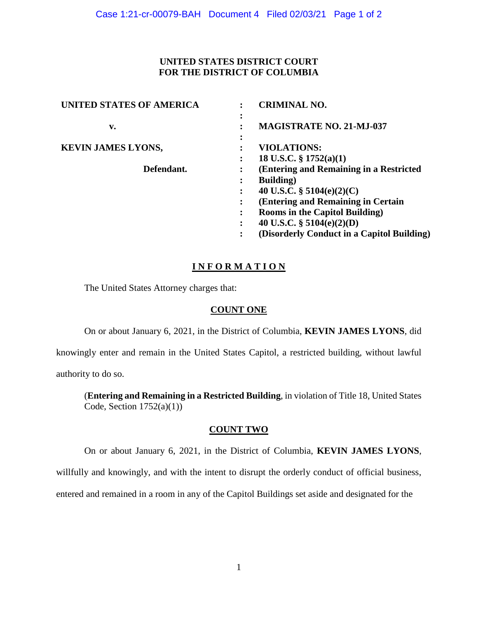## **UNITED STATES DISTRICT COURT FOR THE DISTRICT OF COLUMBIA**

| UNITED STATES OF AMERICA  |                | <b>CRIMINAL NO.</b>                        |
|---------------------------|----------------|--------------------------------------------|
|                           | ٠<br>$\bullet$ |                                            |
| v.                        |                | <b>MAGISTRATE NO. 21-MJ-037</b>            |
|                           | ٠<br>$\bullet$ |                                            |
| <b>KEVIN JAMES LYONS,</b> |                | <b>VIOLATIONS:</b>                         |
|                           |                | 18 U.S.C. $\S 1752(a)(1)$                  |
| Defendant.                |                | (Entering and Remaining in a Restricted    |
|                           | ٠              | <b>Building</b> )                          |
|                           |                | 40 U.S.C. $\S$ 5104(e)(2)(C)               |
|                           | $\ddot{\cdot}$ | (Entering and Remaining in Certain)        |
|                           | ٠              | <b>Rooms in the Capitol Building)</b>      |
|                           |                | 40 U.S.C. $\S$ 5104(e)(2)(D)               |
|                           | ٠              | (Disorderly Conduct in a Capitol Building) |

## **I N F O R M A T I O N**

The United States Attorney charges that:

## **COUNT ONE**

On or about January 6, 2021, in the District of Columbia, **KEVIN JAMES LYONS**, did

knowingly enter and remain in the United States Capitol, a restricted building, without lawful authority to do so.

(**Entering and Remaining in a Restricted Building**, in violation of Title 18, United States Code, Section 1752(a)(1))

# **COUNT TWO**

On or about January 6, 2021, in the District of Columbia, **KEVIN JAMES LYONS**,

willfully and knowingly, and with the intent to disrupt the orderly conduct of official business,

entered and remained in a room in any of the Capitol Buildings set aside and designated for the